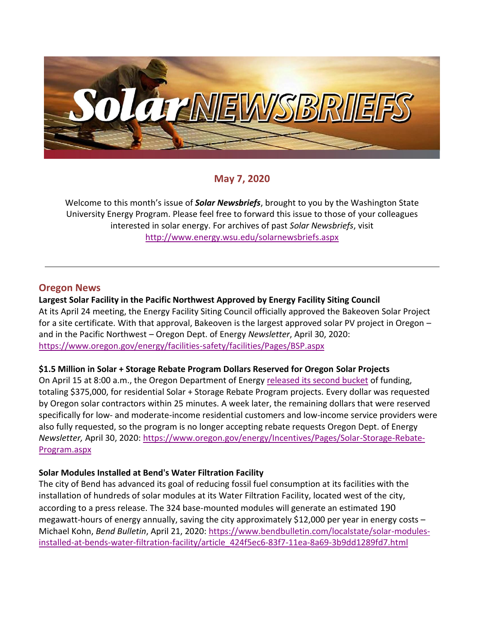

# **May 7, 2020**

Welcome to this month's issue of *Solar Newsbriefs*, brought to you by the Washington State University Energy Program. Please feel free to forward this issue to those of your colleagues interested in solar energy. For archives of past *Solar Newsbriefs*, visit <http://www.energy.wsu.edu/solarnewsbriefs.aspx>

### **Oregon News**

#### **Largest Solar Facility in the Pacific Northwest Approved by Energy Facility Siting Council**

At its April 24 meeting, the Energy Facility Siting Council officially approved the Bakeoven Solar Project for a site certificate. With that approval, Bakeoven is the largest approved solar PV project in Oregon – and in the Pacific Northwest – Oregon Dept. of Energy *Newsletter*, April 30, 2020: <https://www.oregon.gov/energy/facilities-safety/facilities/Pages/BSP.aspx>

#### **\$1.5 Million in Solar + Storage Rebate Program Dollars Reserved for Oregon Solar Projects**

On April 15 at 8:00 a.m., the Oregon Department of Energy [released its second bucket](http://link.energy.oregon.gov/c/6/?T=NzkyOTQzNTk%3AMDItYjIwMTIxLTQ0Yjc5MjI5NTVjYTQ3NWFiNTk0MDJlMGZkMzgwNmM3%3AYW5nZWxhQG9zZWlhLm9yZw%3AY29udGFjdC01NjhlZmNjZmM0MjhlOTExYTk2YzAwMWRkODAwYjU4Mi1lZjAwYTFhZTI0YmQ0YWQxOGViMzNjNTdjZWMzMjVmNw%3AZmFsc2U%3AMA%3A%3AaHR0cHM6Ly9lbmVyZ3lpbmZvLm9yZWdvbi5nb3YvYmxvZy8yMDIwLzQvMTMvYWRkaXRpb25hbC0zNzUwMDAtaW4tc29sYXItc3RvcmFnZS1yZWJhdGUtZG9sbGFycy1hdmFpbGFibGUtYXByaWwtMTU_X2NsZGVlPVlXNW5aV3hoUUc5elpXbGhMbTl5WnclM2QlM2QmcmVjaXBpZW50aWQ9Y29udGFjdC01NjhlZmNjZmM0MjhlOTExYTk2YzAwMWRkODAwYjU4Mi1lZjAwYTFhZTI0YmQ0YWQxOGViMzNjNTdjZWMzMjVmNyZlc2lkPTA4YzAwMTZjLWQyODgtZWExMS1hODExLTAwMWRkODAxODkyMQ&K=Kc8rhOJW-jxz_GT8HgVAwQ) of funding, totaling \$375,000, for residential Solar + Storage Rebate Program projects. Every dollar was requested by Oregon solar contractors within 25 minutes. A week later, the remaining dollars that were reserved specifically for low- and moderate-income residential customers and low-income service providers were also fully requested, so the program is no longer accepting rebate requests Oregon Dept. of Energy *Newsletter,* April 30, 2020: [https://www.oregon.gov/energy/Incentives/Pages/Solar-Storage-Rebate-](https://www.oregon.gov/energy/Incentives/Pages/Solar-Storage-Rebate-Program.aspx)[Program.aspx](https://www.oregon.gov/energy/Incentives/Pages/Solar-Storage-Rebate-Program.aspx)

#### **Solar Modules Installed at Bend's Water Filtration Facility**

The city of Bend has advanced its goal of reducing fossil fuel consumption at its facilities with the installation of hundreds of solar modules at its Water Filtration Facility, located west of the city, according to a press release. The 324 base-mounted modules will generate an estimated 190 megawatt-hours of energy annually, saving the city approximately \$12,000 per year in energy costs  $-$ Michael Kohn, *Bend Bulletin*, April 21, 2020: [https://www.bendbulletin.com/localstate/solar-modules](https://www.bendbulletin.com/localstate/solar-modules-installed-at-bends-water-filtration-facility/article_424f5ec6-83f7-11ea-8a69-3b9dd1289fd7.html)[installed-at-bends-water-filtration-facility/article\\_424f5ec6-83f7-11ea-8a69-3b9dd1289fd7.html](https://www.bendbulletin.com/localstate/solar-modules-installed-at-bends-water-filtration-facility/article_424f5ec6-83f7-11ea-8a69-3b9dd1289fd7.html)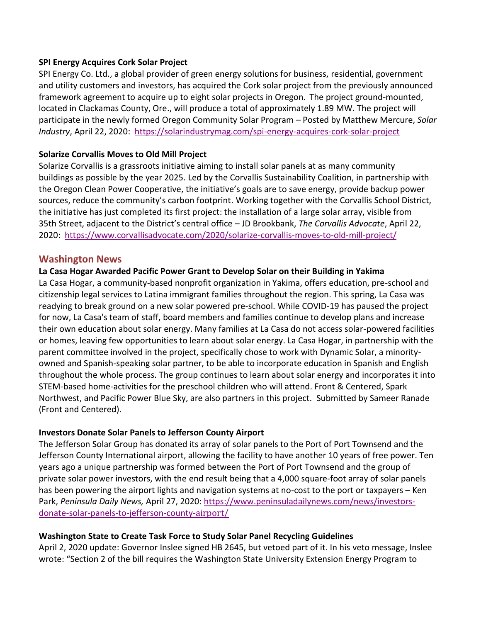#### **SPI Energy Acquires Cork Solar Project**

[SPI Energy Co. Ltd.,](http://www.spigroups.com/) a global provider of green energy solutions for business, residential, government and utility customers and investors, has acquired the Cork solar project from the previously announced framework agreement to acquire up to eight solar projects in Oregon. The project ground-mounted, located in Clackamas County, Ore., will produce a total of approximately 1.89 MW. The project will participate in the newly formed [Oregon Community Solar Program](https://www.oseia.org/communitysolar) – Posted by Matthew Mercure, *Solar Industry*, April 22, 2020: <https://solarindustrymag.com/spi-energy-acquires-cork-solar-project>

#### **Solarize Corvallis Moves to Old Mill Project**

Solarize Corvallis is a grassroots initiative aiming to install solar panels at as many community buildings as possible by the year 2025. Led by the Corvallis Sustainability Coalition, in partnership with the Oregon Clean Power Cooperative, the initiative's goals are to save energy, provide backup power sources, reduce the community's carbon footprint. Working together with the Corvallis School District, the initiative has just completed its first project: the installation of a large solar array, visible from 35th Street, adjacent to the District's central office – JD Brookbank, *The Corvallis Advocate*, April 22, 2020: <https://www.corvallisadvocate.com/2020/solarize-corvallis-moves-to-old-mill-project/>

#### **Washington News**

#### **La Casa Hogar Awarded Pacific Power Grant to Develop Solar on their Building in Yakima**

La Casa Hogar, a community-based nonprofit organization in Yakima, offers education, pre-school and citizenship legal services to Latina immigrant families throughout the region. This spring, La Casa was readying to break ground on a new solar powered pre-school. While COVID-19 has paused the project for now, La Casa's team of staff, board members and families continue to develop plans and increase their own education about solar energy. Many families at La Casa do not access solar-powered facilities or homes, leaving few opportunities to learn about solar energy. La Casa Hogar, in partnership with the parent committee involved in the project, specifically chose to work with Dynamic Solar, a minorityowned and Spanish-speaking solar partner, to be able to incorporate education in Spanish and English throughout the whole process. The group continues to learn about solar energy and incorporates it into STEM-based home-activities for the preschool children who will attend. Front & Centered, Spark Northwest, and Pacific Power Blue Sky, are also partners in this project. Submitted by Sameer Ranade (Front and Centered).

#### **Investors Donate Solar Panels to Jefferson County Airport**

The Jefferson Solar Group has donated its array of solar panels to the Port of Port Townsend and the Jefferson County International airport, allowing the facility to have another 10 years of free power. Ten years ago a unique partnership was formed between the Port of Port Townsend and the group of private solar power investors, with the end result being that a 4,000 square-foot array of solar panels has been powering the airport lights and navigation systems at no-cost to the port or taxpayers – Ken Park, *Peninsula Daily News,* April 27, 2020: [https://www.peninsuladailynews.com/news/investors](https://www.peninsuladailynews.com/news/investors-donate-solar-panels-to-jefferson-county-airport/)[donate-solar-panels-to-jefferson-county-](https://www.peninsuladailynews.com/news/investors-donate-solar-panels-to-jefferson-county-airport/)airport/

#### **Washington State to Create Task Force to Study Solar Panel Recycling Guidelines**

April 2, 2020 update: Governor Inslee signed HB 2645, but vetoed part of it. In his [veto message,](https://crmpublicwebservice.des.wa.gov/bats/attachment/vetomessage/7cdfa85e-5175-ea11-8168-005056ba278b#page=1) Inslee wrote: "Section 2 of the bill requires the Washington State University Extension Energy Program to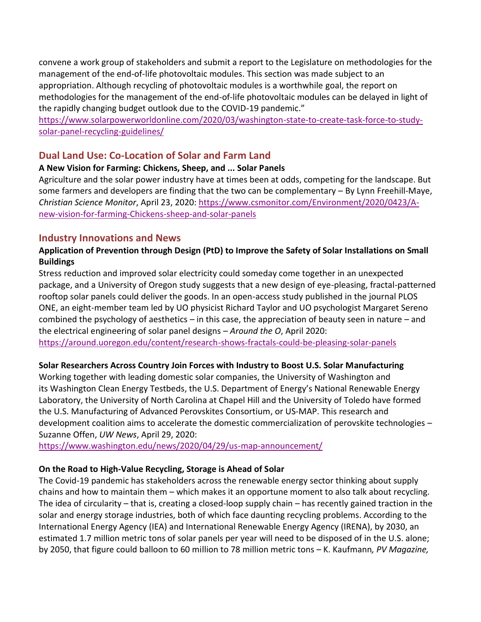convene a work group of stakeholders and submit a report to the Legislature on methodologies for the management of the end-of-life photovoltaic modules. This section was made subject to an appropriation. Although recycling of photovoltaic modules is a worthwhile goal, the report on methodologies for the management of the end-of-life photovoltaic modules can be delayed in light of the rapidly changing budget outlook due to the COVID-19 pandemic."

[https://www.solarpowerworldonline.com/2020/03/washington-state-to-create-task-force-to-study](https://www.solarpowerworldonline.com/2020/03/washington-state-to-create-task-force-to-study-solar-panel-recycling-guidelines/)[solar-panel-recycling-guidelines/](https://www.solarpowerworldonline.com/2020/03/washington-state-to-create-task-force-to-study-solar-panel-recycling-guidelines/)

## **Dual Land Use: Co-Location of Solar and Farm Land**

### **A New Vision for Farming: Chickens, Sheep, and ... Solar Panels**

Agriculture and the solar power industry have at times been at odds, competing for the landscape. But some farmers and developers are finding that the two can be complementary – By Lynn Freehill-Maye, *Christian Science Monitor*, April 23, 2020: [https://www.csmonitor.com/Environment/2020/0423/A](https://www.csmonitor.com/Environment/2020/0423/A-new-vision-for-farming-Chickens-sheep-and-solar-panels)[new-vision-for-farming-Chickens-sheep-and-solar-panels](https://www.csmonitor.com/Environment/2020/0423/A-new-vision-for-farming-Chickens-sheep-and-solar-panels)

# **Industry Innovations and News**

## **Application of Prevention through Design (PtD) to Improve the Safety of Solar Installations on Small Buildings**

Stress reduction and improved solar electricity could someday come together in an unexpected package, and a University of Oregon study suggests that a new design of eye-pleasing, fractal-patterned rooftop solar panels could deliver the goods. In an open-access study published in the journal PLOS ONE, an eight-member team led by UO physicist Richard Taylor and UO psychologist Margaret Sereno combined the psychology of aesthetics – in this case, the appreciation of beauty seen in nature – and the electrical engineering of solar panel designs – *Around the O*, April 2020:

<https://around.uoregon.edu/content/research-shows-fractals-could-be-pleasing-solar-panels>

## **Solar Researchers Across Country Join Forces with Industry to Boost U.S. Solar Manufacturing**

Working together with leading domestic solar companies, the [University of Washington](http://www.washington.edu/) and its [Washington Clean Energy Testbeds](https://www.wcet.washington.edu/), the U.S. Department of Energy's National Renewable Energy Laboratory, the University of North Carolina at Chapel Hill and the University of Toledo have formed the [U.S. Manufacturing of Advanced Perovskites Consortium,](https://www.nrel.gov/research/us-map.html) or US-MAP. This research and development coalition aims to accelerate the domestic commercialization of perovskite technologies – [Suzanne Offen,](https://www.washington.edu/news/author/suzanne-offen/) *UW News*, April 29, 2020:

<https://www.washington.edu/news/2020/04/29/us-map-announcement/>

## **On the Road to High-Value Recycling, Storage is Ahead of Solar**

The Covid-19 pandemic has stakeholders across the renewable energy sector thinking about supply chains and how to maintain them – which makes it an opportune moment to also talk about recycling. The idea of circularity – that is, creating a closed-loop supply chain – has recently gained traction in the solar and energy storage industries, both of which face daunting recycling problems. According to the International Energy Agency (IEA) and International Renewable Energy Agency (IRENA), by 2030, an estimated 1.7 million metric tons of solar panels per year will need to be disposed of in the U.S. alone; by 2050, that figure could balloon to 60 million to 78 million metric tons – K. Kaufmann*, PV Magazine,*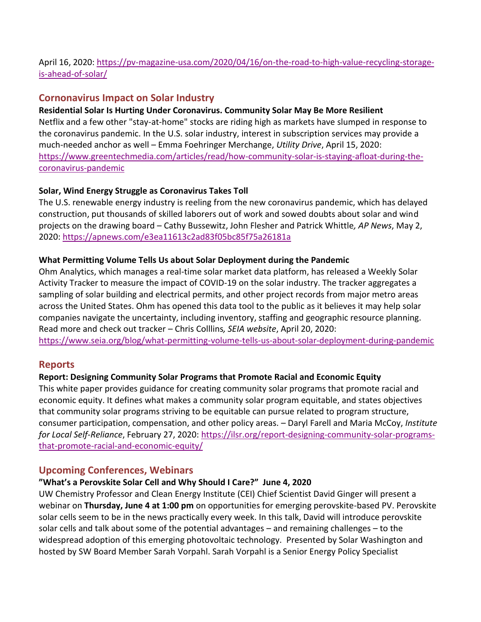## April 16, 2020: [https://pv-magazine-usa.com/2020/04/16/on-the-road-to-high-value-recycling-storage](https://pv-magazine-usa.com/2020/04/16/on-the-road-to-high-value-recycling-storage-is-ahead-of-solar/)[is-ahead-of-solar/](https://pv-magazine-usa.com/2020/04/16/on-the-road-to-high-value-recycling-storage-is-ahead-of-solar/)

# **Cornonavirus Impact on Solar Industry**

#### **Residential Solar Is Hurting Under Coronavirus. Community Solar May Be More Resilient**

Netflix and a few other "stay-at-home" stocks are riding high as markets have slumped in response to the coronavirus pandemic. In the U.S. solar industry, interest in subscription services may provide a much-needed anchor as well – Emma Foehringer Merchange, *Utility Drive*, April 15, 2020: [https://www.greentechmedia.com/articles/read/how-community-solar-is-staying-afloat-during-the](https://www.greentechmedia.com/articles/read/how-community-solar-is-staying-afloat-during-the-coronavirus-pandemic)[coronavirus-pandemic](https://www.greentechmedia.com/articles/read/how-community-solar-is-staying-afloat-during-the-coronavirus-pandemic)

### **Solar, Wind Energy Struggle as Coronavirus Takes Toll**

The U.S. renewable energy industry is reeling from the new coronavirus pandemic, which has delayed construction, put thousands of skilled laborers out of work and sowed doubts about solar and wind projects on the drawing board – Cathy Bussewitz, John Flesher and Patrick Whittle*, AP News*, May 2, 2020:<https://apnews.com/e3ea11613c2ad83f05bc85f75a26181a>

#### **What Permitting Volume Tells Us about Solar Deployment during the Pandemic**

Ohm Analytics, which manages a real-time solar market data platform, has released a Weekly Solar Activity Tracker to measure the impact of COVID-19 on the solar industry. The tracker aggregates a sampling of solar building and electrical permits, and other project records from major metro areas across the United States. Ohm has opened this data tool to the public as it believes it may help solar companies navigate the uncertainty, including inventory, staffing and geographic resource planning. Read more and check out tracker – Chris Colllins*, SEIA website*, April 20, 2020: <https://www.seia.org/blog/what-permitting-volume-tells-us-about-solar-deployment-during-pandemic>

## **Reports**

## **Report: Designing Community Solar Programs that Promote Racial and Economic Equity**

This white paper provides guidance for creating community solar programs that promote racial and economic equity. It defines what makes a community solar program equitable, and states objectives that community solar programs striving to be equitable can pursue related to program structure, consumer participation, compensation, and other policy areas. – Daryl Farell and Maria McCoy, *Institute for Local Self-Reliance*, February 27, 2020: [https://ilsr.org/report-designing-community-solar-programs](https://ilsr.org/report-designing-community-solar-programs-that-promote-racial-and-economic-equity/)[that-promote-racial-and-economic-equity/](https://ilsr.org/report-designing-community-solar-programs-that-promote-racial-and-economic-equity/)

## **Upcoming Conferences, Webinars**

## **"What's a Perovskite Solar Cell and Why Should I Care?" June 4, 2020**

UW Chemistry Professor and Clean Energy Institute (CEI) Chief Scientist David Ginger will present a webinar on **Thursday, June 4 at 1:00 pm** on opportunities for emerging perovskite-based PV. Perovskite solar cells seem to be in the news practically every week. In this talk, David will introduce perovskite solar cells and talk about some of the potential advantages – and remaining challenges – to the widespread adoption of this emerging photovoltaic technology. Presented by Solar Washington and hosted by SW Board Member Sarah Vorpahl. Sarah Vorpahl is a Senior Energy Policy Specialist